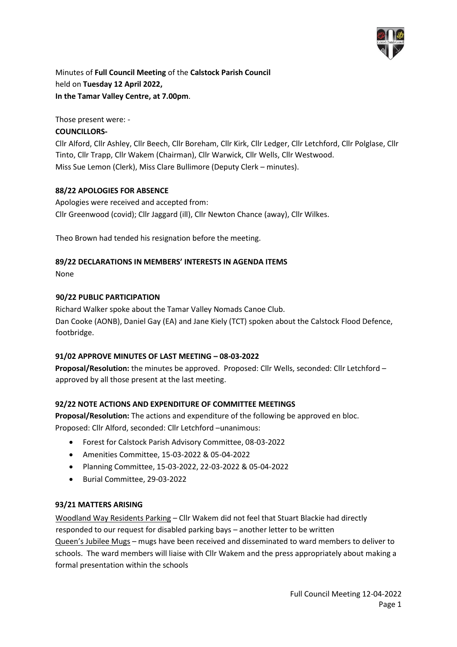

Minutes of **Full Council Meeting** of the **Calstock Parish Council** held on **Tuesday 12 April 2022, In the Tamar Valley Centre, at 7.00pm**.

Those present were: -

## **COUNCILLORS-**

Cllr Alford, Cllr Ashley, Cllr Beech, Cllr Boreham, Cllr Kirk, Cllr Ledger, Cllr Letchford, Cllr Polglase, Cllr Tinto, Cllr Trapp, Cllr Wakem (Chairman), Cllr Warwick, Cllr Wells, Cllr Westwood. Miss Sue Lemon (Clerk), Miss Clare Bullimore (Deputy Clerk – minutes).

## **88/22 APOLOGIES FOR ABSENCE**

Apologies were received and accepted from: Cllr Greenwood (covid); Cllr Jaggard (ill), Cllr Newton Chance (away), Cllr Wilkes.

Theo Brown had tended his resignation before the meeting.

## **89/22 DECLARATIONS IN MEMBERS' INTERESTS IN AGENDA ITEMS**

None

#### **90/22 PUBLIC PARTICIPATION**

Richard Walker spoke about the Tamar Valley Nomads Canoe Club. Dan Cooke (AONB), Daniel Gay (EA) and Jane Kiely (TCT) spoken about the Calstock Flood Defence, footbridge.

## **91/02 APPROVE MINUTES OF LAST MEETING – 08-03-2022**

**Proposal/Resolution:** the minutes be approved. Proposed: Cllr Wells, seconded: Cllr Letchford – approved by all those present at the last meeting.

## **92/22 NOTE ACTIONS AND EXPENDITURE OF COMMITTEE MEETINGS**

**Proposal/Resolution:** The actions and expenditure of the following be approved en bloc. Proposed: Cllr Alford, seconded: Cllr Letchford –unanimous:

- Forest for Calstock Parish Advisory Committee, 08-03-2022
- Amenities Committee, 15-03-2022 & 05-04-2022
- Planning Committee, 15-03-2022, 22-03-2022 & 05-04-2022
- Burial Committee, 29-03-2022

#### **93/21 MATTERS ARISING**

Woodland Way Residents Parking – Cllr Wakem did not feel that Stuart Blackie had directly responded to our request for disabled parking bays – another letter to be written Queen's Jubilee Mugs – mugs have been received and disseminated to ward members to deliver to schools. The ward members will liaise with Cllr Wakem and the press appropriately about making a formal presentation within the schools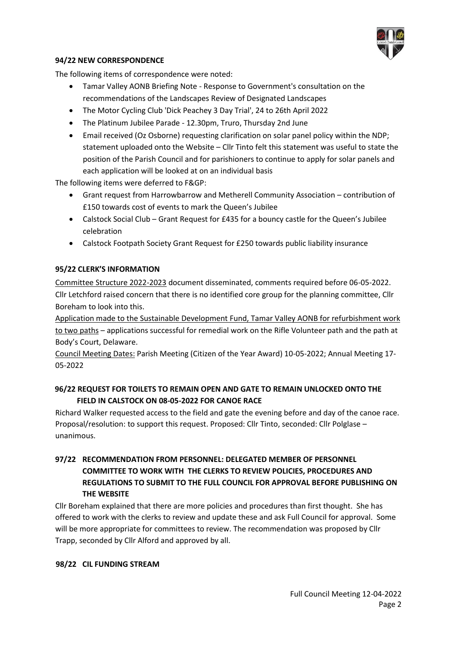

#### **94/22 NEW CORRESPONDENCE**

The following items of correspondence were noted:

- Tamar Valley AONB Briefing Note Response to Government's consultation on the recommendations of the Landscapes Review of Designated Landscapes
- The Motor Cycling Club 'Dick Peachey 3 Day Trial', 24 to 26th April 2022
- The Platinum Jubilee Parade 12.30pm, Truro, Thursday 2nd June
- Email received (Oz Osborne) requesting clarification on solar panel policy within the NDP; statement uploaded onto the Website – Cllr Tinto felt this statement was useful to state the position of the Parish Council and for parishioners to continue to apply for solar panels and each application will be looked at on an individual basis

The following items were deferred to F&GP:

- Grant request from Harrowbarrow and Metherell Community Association contribution of £150 towards cost of events to mark the Queen's Jubilee
- Calstock Social Club Grant Request for £435 for a bouncy castle for the Queen's Jubilee celebration
- Calstock Footpath Society Grant Request for £250 towards public liability insurance

## **95/22 CLERK'S INFORMATION**

Committee Structure 2022-2023 document disseminated, comments required before 06-05-2022. Cllr Letchford raised concern that there is no identified core group for the planning committee, Cllr Boreham to look into this.

Application made to the Sustainable Development Fund, Tamar Valley AONB for refurbishment work to two paths – applications successful for remedial work on the Rifle Volunteer path and the path at Body's Court, Delaware.

Council Meeting Dates: Parish Meeting (Citizen of the Year Award) 10-05-2022; Annual Meeting 17- 05-2022

# **96/22 REQUEST FOR TOILETS TO REMAIN OPEN AND GATE TO REMAIN UNLOCKED ONTO THE FIELD IN CALSTOCK ON 08-05-2022 FOR CANOE RACE**

Richard Walker requested access to the field and gate the evening before and day of the canoe race. Proposal/resolution: to support this request. Proposed: Cllr Tinto, seconded: Cllr Polglase – unanimous.

# **97/22 RECOMMENDATION FROM PERSONNEL: DELEGATED MEMBER OF PERSONNEL COMMITTEE TO WORK WITH THE CLERKS TO REVIEW POLICIES, PROCEDURES AND REGULATIONS TO SUBMIT TO THE FULL COUNCIL FOR APPROVAL BEFORE PUBLISHING ON THE WEBSITE**

Cllr Boreham explained that there are more policies and procedures than first thought. She has offered to work with the clerks to review and update these and ask Full Council for approval. Some will be more appropriate for committees to review. The recommendation was proposed by Cllr Trapp, seconded by Cllr Alford and approved by all.

## **98/22 CIL FUNDING STREAM**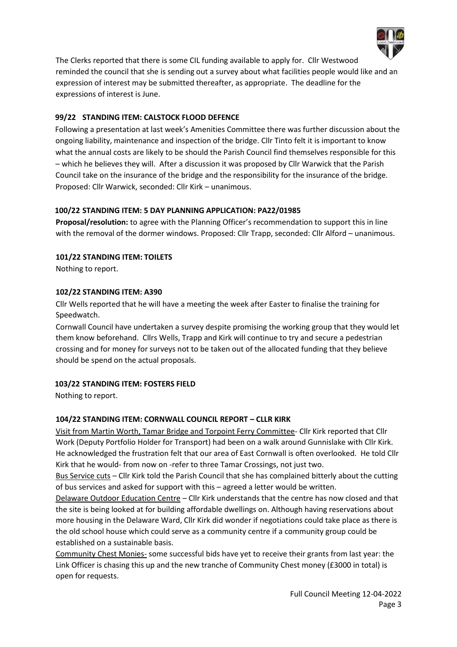

The Clerks reported that there is some CIL funding available to apply for. Cllr Westwood reminded the council that she is sending out a survey about what facilities people would like and an expression of interest may be submitted thereafter, as appropriate. The deadline for the expressions of interest is June.

## **99/22 STANDING ITEM: CALSTOCK FLOOD DEFENCE**

Following a presentation at last week's Amenities Committee there was further discussion about the ongoing liability, maintenance and inspection of the bridge. Cllr Tinto felt it is important to know what the annual costs are likely to be should the Parish Council find themselves responsible for this – which he believes they will. After a discussion it was proposed by Cllr Warwick that the Parish Council take on the insurance of the bridge and the responsibility for the insurance of the bridge. Proposed: Cllr Warwick, seconded: Cllr Kirk – unanimous.

## **100/22 STANDING ITEM: 5 DAY PLANNING APPLICATION: PA22/01985**

**Proposal/resolution:** to agree with the Planning Officer's recommendation to support this in line with the removal of the dormer windows. Proposed: Cllr Trapp, seconded: Cllr Alford – unanimous.

**101/22 STANDING ITEM: TOILETS**

Nothing to report.

## **102/22 STANDING ITEM: A390**

Cllr Wells reported that he will have a meeting the week after Easter to finalise the training for Speedwatch.

Cornwall Council have undertaken a survey despite promising the working group that they would let them know beforehand. Cllrs Wells, Trapp and Kirk will continue to try and secure a pedestrian crossing and for money for surveys not to be taken out of the allocated funding that they believe should be spend on the actual proposals.

## **103/22 STANDING ITEM: FOSTERS FIELD**

Nothing to report.

# **104/22 STANDING ITEM: CORNWALL COUNCIL REPORT – CLLR KIRK**

Visit from Martin Worth, Tamar Bridge and Torpoint Ferry Committee- Cllr Kirk reported that Cllr Work (Deputy Portfolio Holder for Transport) had been on a walk around Gunnislake with Cllr Kirk. He acknowledged the frustration felt that our area of East Cornwall is often overlooked. He told Cllr Kirk that he would- from now on -refer to three Tamar Crossings, not just two.

Bus Service cuts – Cllr Kirk told the Parish Council that she has complained bitterly about the cutting of bus services and asked for support with this – agreed a letter would be written.

Delaware Outdoor Education Centre – Cllr Kirk understands that the centre has now closed and that the site is being looked at for building affordable dwellings on. Although having reservations about more housing in the Delaware Ward, Cllr Kirk did wonder if negotiations could take place as there is the old school house which could serve as a community centre if a community group could be established on a sustainable basis.

Community Chest Monies- some successful bids have yet to receive their grants from last year: the Link Officer is chasing this up and the new tranche of Community Chest money (£3000 in total) is open for requests.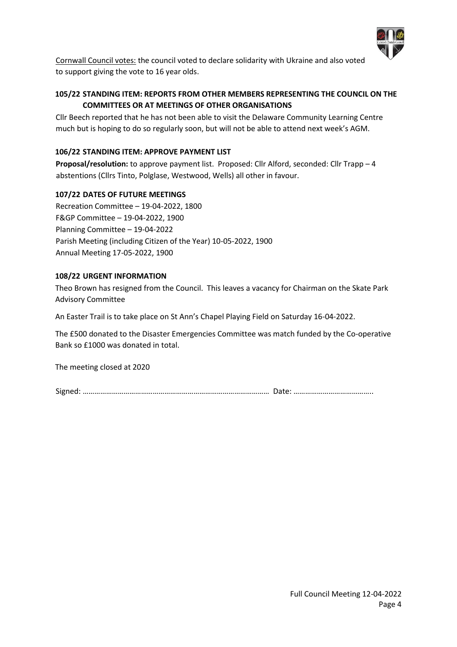

Cornwall Council votes: the council voted to declare solidarity with Ukraine and also voted to support giving the vote to 16 year olds.

# **105/22 STANDING ITEM: REPORTS FROM OTHER MEMBERS REPRESENTING THE COUNCIL ON THE COMMITTEES OR AT MEETINGS OF OTHER ORGANISATIONS**

Cllr Beech reported that he has not been able to visit the Delaware Community Learning Centre much but is hoping to do so regularly soon, but will not be able to attend next week's AGM.

## **106/22 STANDING ITEM: APPROVE PAYMENT LIST**

**Proposal/resolution:** to approve payment list. Proposed: Cllr Alford, seconded: Cllr Trapp – 4 abstentions (Cllrs Tinto, Polglase, Westwood, Wells) all other in favour.

## **107/22 DATES OF FUTURE MEETINGS**

Recreation Committee – 19-04-2022, 1800 F&GP Committee – 19-04-2022, 1900 Planning Committee – 19-04-2022 Parish Meeting (including Citizen of the Year) 10-05-2022, 1900 Annual Meeting 17-05-2022, 1900

## **108/22 URGENT INFORMATION**

Theo Brown has resigned from the Council. This leaves a vacancy for Chairman on the Skate Park Advisory Committee

An Easter Trail is to take place on St Ann's Chapel Playing Field on Saturday 16-04-2022.

The £500 donated to the Disaster Emergencies Committee was match funded by the Co-operative Bank so £1000 was donated in total.

The meeting closed at 2020

Signed: …………………………………………………………………………………… Date: …………………………………..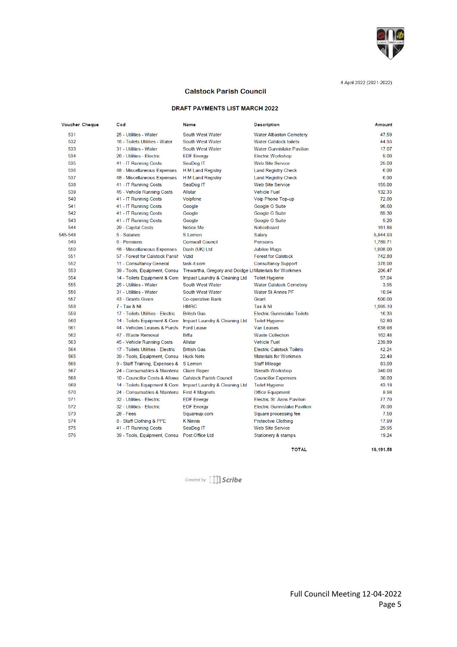

#### **Calstock Parish Council**

#### **DRAFT PAYMENTS LIST MARCH 2022**

| <b>Voucher Cheque</b> | Cod                               | <b>Name</b>                                           | <b>Description</b>                  | Amount   |
|-----------------------|-----------------------------------|-------------------------------------------------------|-------------------------------------|----------|
| 531                   | 25 - Utilities - Water            | South West Water                                      | <b>Water Albaston Cemetery</b>      | 47.59    |
| 532                   | 16 - Toilets Utilities - Water    | South West Water                                      | <b>Water Calstock toilets</b>       | 44 93    |
| 533                   | 31 - Utilities - Water            | South West Water                                      | <b>Water Gunnislake Pavilion</b>    | 17.07    |
| 534                   | 26 - Utilities - Electric         | <b>EDF</b> Energy                                     | <b>Electric Workshop</b>            | 9.00     |
| 535                   | 41 - IT Running Costs             | SeaDog IT                                             | <b>Web Site Service</b>             | 25.00    |
| 536                   | 48 - Miscellaneous Expenses       | H M Land Registry                                     | <b>Land Registry Check</b>          | 6.00     |
| 537                   | 48 - Miscellaneous Expenses       | <b>H M Land Registry</b>                              | <b>Land Registry Check</b>          | 6.00     |
| 538                   | 41 - IT Running Costs             | SeaDog IT                                             | <b>Web Site Service</b>             | 155.00   |
| 539                   | 45 - Vehicle Running Costs        | <b>Allstar</b>                                        | <b>Vehicle Fuel</b>                 | 132.33   |
| 540                   | 41 - IT Running Costs             | Voipfone                                              | Voip Phone Top-up                   | 72.00    |
| 541                   | 41 - IT Running Costs             | Google                                                | Google G Suite                      | 96.60    |
| 542                   | 41 - IT Running Costs             | Google                                                | Google G Suite                      | 69.30    |
| 543                   | 41 - IT Running Costs             | Google                                                | Google G Suite                      | 9.20     |
| 544                   | 29 - Capital Costs                | Notice Me                                             | Noticeboard                         | 161.88   |
| 545-548               | 5 - Salaries                      | S Lemon                                               | Salary                              | 5.844.93 |
| 549                   | 6 - Pensions                      | <b>Cornwall Council</b>                               | Pensions                            | 1.789.71 |
| 550                   | 48 - Miscellaneous Expenses       | Dash (UK) Ltd                                         | <b>Jubilee Mugs</b>                 | 1,908.00 |
| 551                   | 57 - Forest for Calstock Parish   | Vizid                                                 | <b>Forest for Calstock</b>          | 742.80   |
| 552                   | 11 - Consultancy General          | task-it.com                                           | <b>Consultancy Support</b>          | 378.00   |
| 553                   | 39 - Tools, Equipment, Consu      | Trewartha, Gregory and Doidge LtMaterials for Workmen |                                     | 206.47   |
| 554                   | 14 - Toilets Equipment & Cons     | Impact Laundry & Cleaning Ltd                         | <b>Toilet Hygiene</b>               | 57.04    |
| 555                   | 25 - Utilities - Water            | South West Water                                      | <b>Water Calstock Cemetery</b>      | 3.95     |
| 556                   | 31 - Utilities - Water            | South West Water                                      | <b>Water St Annes PF</b>            | 10.94    |
| 557                   | 43 - Grants Given                 | <b>Co-operative Bank</b>                              | Grant                               | 500.00   |
| 558                   | 7 - Tax & NI                      | <b>HMRC</b>                                           | Tax & NI                            | 1.995.10 |
| 559                   | 17 - Toilets Utilities - Electric | <b>British Gas</b>                                    | <b>Electric Gunnislake Toilets</b>  | 16.33    |
| 560                   | 14 - Toilets Equipment & Cons     | Impact Laundry & Cleaning Ltd                         | <b>Toilet Hygiene</b>               | 52.80    |
| 561                   | 44 - Vehicles Leases & Purcha     | <b>Ford Lease</b>                                     | <b>Van Leases</b>                   | 638.98   |
| 562                   | 47 - Waste Removal                | <b>Biffa</b>                                          | <b>Waste Collection</b>             | 162.48   |
| 563                   | 45 - Vehicle Running Costs        | <b>Allstar</b>                                        | <b>Vehicle Fuel</b>                 | 239.89   |
| 564                   | 17 - Toilets Utilities - Electric | <b>British Gas</b>                                    | <b>Electric Calstock Toilets</b>    | 42.24    |
| 565                   | 39 - Tools, Equipment, Consul     | <b>Huck Nets</b>                                      | <b>Materials for Workmen</b>        | 22.48    |
| 566                   | 9 - Staff Training, Expenses &    | S Lemon                                               | <b>Staff Mileage</b>                | 83.00    |
| 567                   | 24 - Consumables & Maintena       | <b>Claire Roper</b>                                   | <b>Wreath Workshop</b>              | 340.00   |
| 568                   | 10 - Councillor Costs & Allowa    | <b>Calstock Parish Council</b>                        | <b>Councillor Expenses</b>          | 30.00    |
| 569                   | 14 - Toilets Equipment & Cons     | Impact Laundry & Cleaning Ltd                         | <b>Toilet Hygiene</b>               | 43.18    |
| 570                   | 24 - Consumables & Maintena       | <b>First 4 Magnets</b>                                | <b>Office Equipment</b>             | 8.98     |
| 571                   | 32 - Utilities - Electric         | <b>EDF</b> Energy                                     | <b>Electric St Anns Pavilion</b>    | 77.70    |
| 572                   | 32 - Utilities - Electric         | <b>EDF</b> Energy                                     | <b>Electric Gunnislake Pavilion</b> | 70.00    |
| 573                   | $28 - Fees$                       | Squareup.com                                          | Square processing fee               | 7.50     |
| 574                   | 8 - Staff Clothing & PPE          | <b>K</b> Ninnis                                       | <b>Protective Clothing</b>          | 17.99    |
| 575                   | 41 - IT Running Costs             | SeaDog IT                                             | <b>Web Site Service</b>             | 29.95    |
| 576                   | 39 - Tools, Equipment, Consu      | Post Office Ltd                                       | Stationery & stamps                 | 19.24    |

**TOTAL** 

Created by [1] Scribe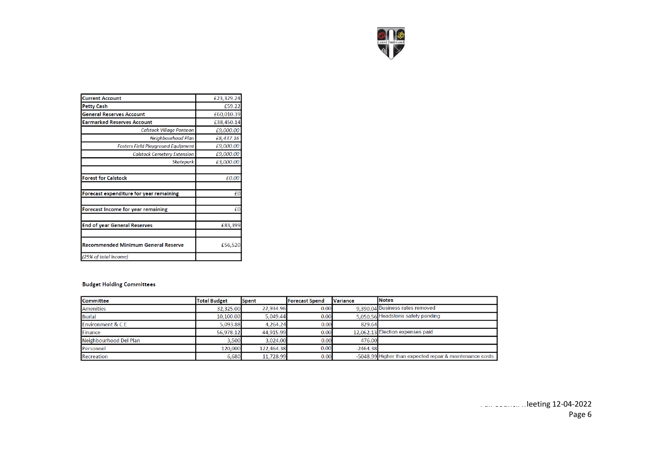

| <b>Current Account</b>                    | £23,329.24 |
|-------------------------------------------|------------|
| <b>Petty Cash</b>                         | £59.22     |
| <b>General Reserves Account</b>           | £60,010.39 |
| <b>Earmarked Reserves Account</b>         | £38,450.14 |
| <b>Calstock Village Pontoon</b>           | £9,000.00  |
| Neighbourhood Plan                        | £8,437.16  |
| <b>Fosters Field Playground Equipment</b> | £9,000.00  |
| <b>Calstock Cemetery Extension</b>        | £9,000.00  |
| <b>Skatepark</b>                          | £3,000.00  |
|                                           |            |
| <b>Forest for Calstock</b>                | £0.00      |
|                                           |            |
| Forecast expenditure for year remaining   | £0         |
|                                           |            |
| Forecast Income for year remaining        | £Ο         |
|                                           |            |
| <b>End of year General Reserves</b>       | £83,399    |
|                                           |            |
| Recommended Minimum General Reserve       | £56,520    |
| (25% of total income)                     |            |
|                                           |            |

#### **Budget Holding Committees**

| <b>Committee</b>            | <b>Total Budget</b> | Spent      | <b>Forecast Spend</b> | <b>Variance</b> | <b>INotes</b>                                            |
|-----------------------------|---------------------|------------|-----------------------|-----------------|----------------------------------------------------------|
| <b>Amenities</b>            | 32,325.00           | 22,934.96  | 0.00                  |                 | 9.390.04 Business rates removed                          |
| <b>Burial</b>               | 10,100.00           | 5.049.44   | 0.00                  |                 | 5.050.56 Headstone safety pending                        |
| <b>Environment &amp; CE</b> | 5.093.88            | 4.264.24   | 0.00                  | 829.64          |                                                          |
| Finance                     | 56,978.12           | 44,915.99  | 0.00                  |                 | 12,062.13 Election expenses paid                         |
| Neighbourhood Del Plan      | 3,500               | 3,024.00   | 0.00                  | 476.00          |                                                          |
| Personnel                   | 120,000             | 122,464.38 | 0.00                  | $-2464.38$      |                                                          |
| Recreation                  | 6,680               | 11,728.99  | 0.00                  |                 | -5048.99 Higher than expected repair & maintenance costs |